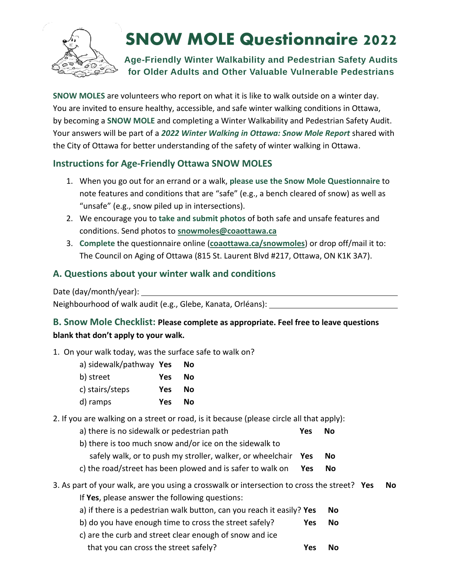

# **SNOW MOLE Questionnaire 2022**

# **Age-Friendly Winter Walkability and Pedestrian Safety Audits for Older Adults and Other Valuable Vulnerable Pedestrians**

**SNOW MOLES** are volunteers who report on what it is like to walk outside on a winter day. You are invited to ensure healthy, accessible, and safe winter walking conditions in Ottawa, by becoming a **SNOW MOLE** and completing a Winter Walkability and Pedestrian Safety Audit. Your answers will be part of a *2022 Winter Walking in Ottawa: Snow Mole Report* shared with the City of Ottawa for better understanding of the safety of winter walking in Ottawa.

### **Instructions for Age-Friendly Ottawa SNOW MOLES**

- 1. When you go out for an errand or a walk, **please use the Snow Mole Questionnaire** to note features and conditions that are "safe" (e.g., a bench cleared of snow) as well as "unsafe" (e.g., snow piled up in intersections).
- 2. We encourage you to **take and submit photos** of both safe and unsafe features and conditions. Send photos to **[snowmoles@coaottawa.ca](mailto:snowmoles@coaottawa.ca)**
- 3. **Complete** the questionnaire online (**[coaottawa.ca/snowmoles](http://www.coaottawa.ca/snowmoles)**) or drop off/mail it to: The Council on Aging of Ottawa (815 St. Laurent Blvd #217, Ottawa, ON K1K 3A7).

### **A. Questions about your winter walk and conditions**

Date (day/month/year):

Neighbourhood of walk audit (e.g., Glebe, Kanata, Orléans):

# **B. Snow Mole Checklist: Please complete as appropriate. Feel free to leave questions blank that don't apply to your walk.**

1. On your walk today, was the surface safe to walk on?

| a) sidewalk/pathway Yes |     | Νo |
|-------------------------|-----|----|
| b) street               | Yes | No |
| c) stairs/steps         | Yes | No |
| d) ramps                | Yes | No |

- 2. If you are walking on a street or road, is it because (please circle all that apply):
	- a) there is no sidewalk or pedestrian path **Yes No**
	- b) there is too much snow and/or ice on the sidewalk to
		- safely walk, or to push my stroller, walker, or wheelchair **Yes No**
	- c) the road/street has been plowed and is safer to walk on **Yes No**
- 3. As part of your walk, are you using a crosswalk or intersection to cross the street? **Yes No**
	- If **Yes**, please answer the following questions:
	- a) if there is a pedestrian walk button, can you reach it easily? Yes No
	- b) do you have enough time to cross the street safely? **Yes No**
	- c) are the curb and street clear enough of snow and ice that you can cross the street safely? **Yes No**